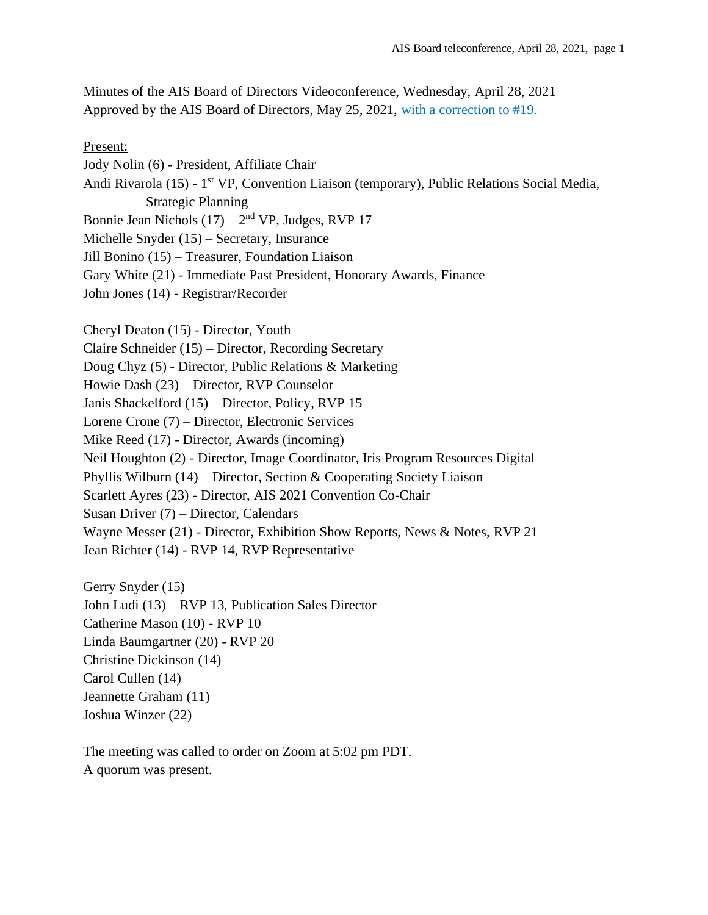Minutes of the AIS Board of Directors Videoconference, Wednesday, April 28, 2021 Approved by the AIS Board of Directors, May 25, 2021, with a correction to #19.

Present: Jody Nolin (6) - President, Affiliate Chair Andi Rivarola (15) - 1<sup>st</sup> VP, Convention Liaison (temporary), Public Relations Social Media, Strategic Planning Bonnie Jean Nichols  $(17) - 2<sup>nd</sup> VP$ , Judges, RVP 17 Michelle Snyder (15) – Secretary, Insurance Jill Bonino (15) – Treasurer, Foundation Liaison Gary White (21) - Immediate Past President, Honorary Awards, Finance John Jones (14) - Registrar/Recorder Cheryl Deaton (15) - Director, Youth Claire Schneider (15) – Director, Recording Secretary Doug Chyz (5) - Director, Public Relations & Marketing Howie Dash (23) – Director, RVP Counselor Janis Shackelford (15) – Director, Policy, RVP 15 Lorene Crone (7) – Director, Electronic Services Mike Reed (17) - Director, Awards (incoming) Neil Houghton (2) - Director, Image Coordinator, Iris Program Resources Digital Phyllis Wilburn (14) – Director, Section & Cooperating Society Liaison Scarlett Ayres (23) - Director, AIS 2021 Convention Co-Chair Susan Driver (7) – Director, Calendars Wayne Messer (21) - Director, Exhibition Show Reports, News & Notes, RVP 21 Jean Richter (14) - RVP 14, RVP Representative

Gerry Snyder (15) John Ludi (13) – RVP 13, Publication Sales Director Catherine Mason (10) - RVP 10 Linda Baumgartner (20) - RVP 20 Christine Dickinson (14) Carol Cullen (14) Jeannette Graham (11) Joshua Winzer (22)

The meeting was called to order on Zoom at 5:02 pm PDT. A quorum was present.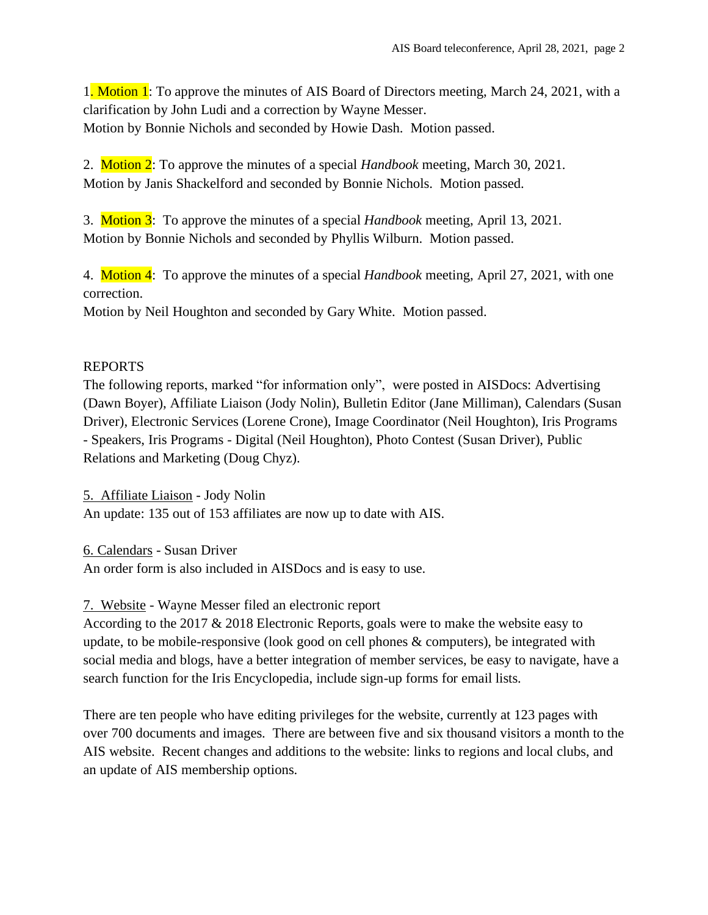1. Motion 1: To approve the minutes of AIS Board of Directors meeting, March 24, 2021, with a clarification by John Ludi and a correction by Wayne Messer. Motion by Bonnie Nichols and seconded by Howie Dash. Motion passed.

2. Motion 2: To approve the minutes of a special *Handbook* meeting, March 30, 2021. Motion by Janis Shackelford and seconded by Bonnie Nichols. Motion passed.

3. Motion 3: To approve the minutes of a special *Handbook* meeting, April 13, 2021. Motion by Bonnie Nichols and seconded by Phyllis Wilburn. Motion passed.

4. Motion 4: To approve the minutes of a special *Handbook* meeting, April 27, 2021, with one correction.

Motion by Neil Houghton and seconded by Gary White. Motion passed.

# REPORTS

The following reports, marked "for information only", were posted in AISDocs: Advertising (Dawn Boyer), Affiliate Liaison (Jody Nolin), Bulletin Editor (Jane Milliman), Calendars (Susan Driver), Electronic Services (Lorene Crone), Image Coordinator (Neil Houghton), Iris Programs - Speakers, Iris Programs - Digital (Neil Houghton), Photo Contest (Susan Driver), Public Relations and Marketing (Doug Chyz).

5. Affiliate Liaison - Jody Nolin An update: 135 out of 153 affiliates are now up to date with AIS.

6. Calendars - Susan Driver

An order form is also included in AISDocs and is easy to use.

7. Website - Wayne Messer filed an electronic report

According to the 2017 & 2018 Electronic Reports, goals were to make the website easy to update, to be mobile-responsive (look good on cell phones & computers), be integrated with social media and blogs, have a better integration of member services, be easy to navigate, have a search function for the Iris Encyclopedia, include sign-up forms for email lists.

There are ten people who have editing privileges for the website, currently at 123 pages with over 700 documents and images. There are between five and six thousand visitors a month to the AIS website. Recent changes and additions to the website: links to regions and local clubs, and an update of AIS membership options.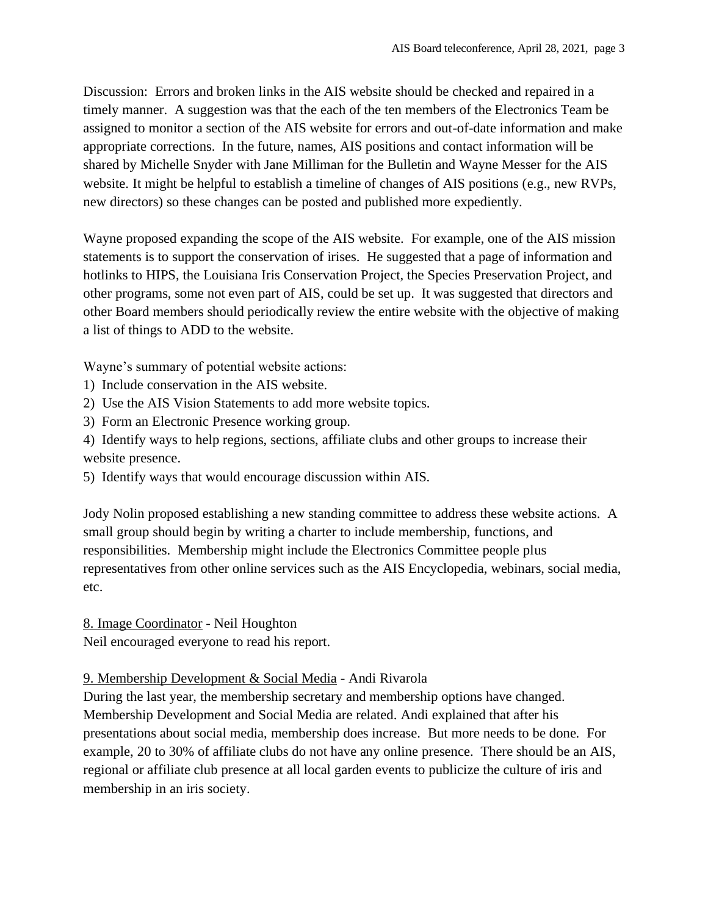Discussion: Errors and broken links in the AIS website should be checked and repaired in a timely manner. A suggestion was that the each of the ten members of the Electronics Team be assigned to monitor a section of the AIS website for errors and out-of-date information and make appropriate corrections. In the future, names, AIS positions and contact information will be shared by Michelle Snyder with Jane Milliman for the Bulletin and Wayne Messer for the AIS website. It might be helpful to establish a timeline of changes of AIS positions (e.g., new RVPs, new directors) so these changes can be posted and published more expediently.

Wayne proposed expanding the scope of the AIS website. For example, one of the AIS mission statements is to support the conservation of irises. He suggested that a page of information and hotlinks to HIPS, the Louisiana Iris Conservation Project, the Species Preservation Project, and other programs, some not even part of AIS, could be set up. It was suggested that directors and other Board members should periodically review the entire website with the objective of making a list of things to ADD to the website.

Wayne's summary of potential website actions:

- 1) Include conservation in the AIS website.
- 2) Use the AIS Vision Statements to add more website topics.
- 3) Form an Electronic Presence working group.

4) Identify ways to help regions, sections, affiliate clubs and other groups to increase their website presence.

5) Identify ways that would encourage discussion within AIS.

Jody Nolin proposed establishing a new standing committee to address these website actions. A small group should begin by writing a charter to include membership, functions, and responsibilities. Membership might include the Electronics Committee people plus representatives from other online services such as the AIS Encyclopedia, webinars, social media, etc.

8. Image Coordinator - Neil Houghton

Neil encouraged everyone to read his report.

# 9. Membership Development & Social Media - Andi Rivarola

During the last year, the membership secretary and membership options have changed. Membership Development and Social Media are related. Andi explained that after his presentations about social media, membership does increase. But more needs to be done. For example, 20 to 30% of affiliate clubs do not have any online presence. There should be an AIS, regional or affiliate club presence at all local garden events to publicize the culture of iris and membership in an iris society.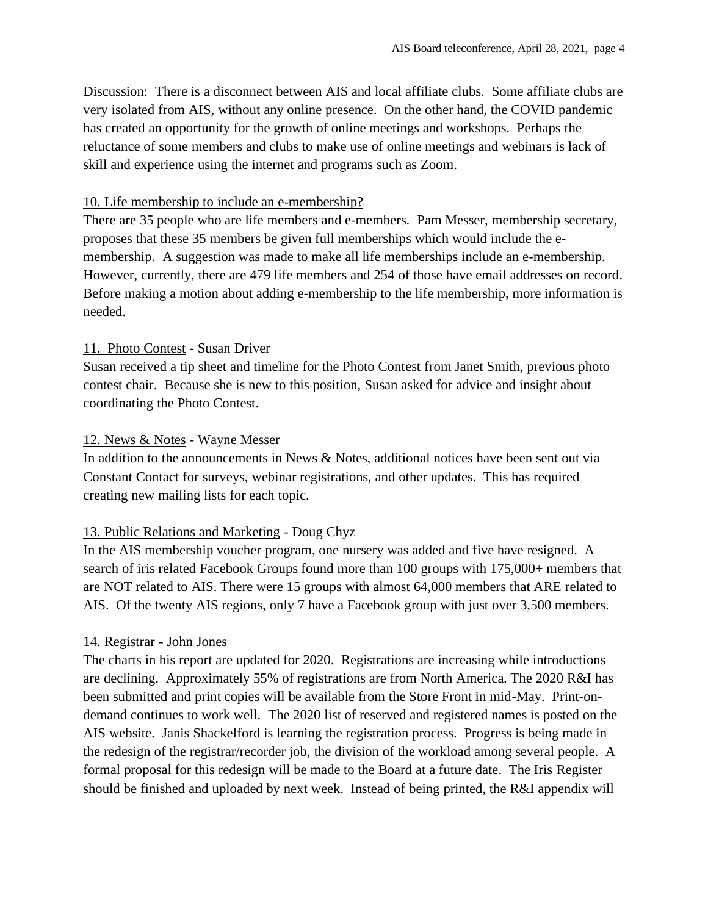Discussion: There is a disconnect between AIS and local affiliate clubs. Some affiliate clubs are very isolated from AIS, without any online presence. On the other hand, the COVID pandemic has created an opportunity for the growth of online meetings and workshops. Perhaps the reluctance of some members and clubs to make use of online meetings and webinars is lack of skill and experience using the internet and programs such as Zoom.

#### 10. Life membership to include an e-membership?

There are 35 people who are life members and e-members. Pam Messer, membership secretary, proposes that these 35 members be given full memberships which would include the emembership. A suggestion was made to make all life memberships include an e-membership. However, currently, there are 479 life members and 254 of those have email addresses on record. Before making a motion about adding e-membership to the life membership, more information is needed.

# 11. Photo Contest - Susan Driver

Susan received a tip sheet and timeline for the Photo Contest from Janet Smith, previous photo contest chair. Because she is new to this position, Susan asked for advice and insight about coordinating the Photo Contest.

### 12. News & Notes - Wayne Messer

In addition to the announcements in News & Notes, additional notices have been sent out via Constant Contact for surveys, webinar registrations, and other updates. This has required creating new mailing lists for each topic.

# 13. Public Relations and Marketing - Doug Chyz

In the AIS membership voucher program, one nursery was added and five have resigned. A search of iris related Facebook Groups found more than 100 groups with 175,000+ members that are NOT related to AIS. There were 15 groups with almost 64,000 members that ARE related to AIS. Of the twenty AIS regions, only 7 have a Facebook group with just over 3,500 members.

# 14. Registrar - John Jones

The charts in his report are updated for 2020. Registrations are increasing while introductions are declining. Approximately 55% of registrations are from North America. The 2020 R&I has been submitted and print copies will be available from the Store Front in mid-May. Print-ondemand continues to work well. The 2020 list of reserved and registered names is posted on the AIS website. Janis Shackelford is learning the registration process. Progress is being made in the redesign of the registrar/recorder job, the division of the workload among several people. A formal proposal for this redesign will be made to the Board at a future date. The Iris Register should be finished and uploaded by next week. Instead of being printed, the R&I appendix will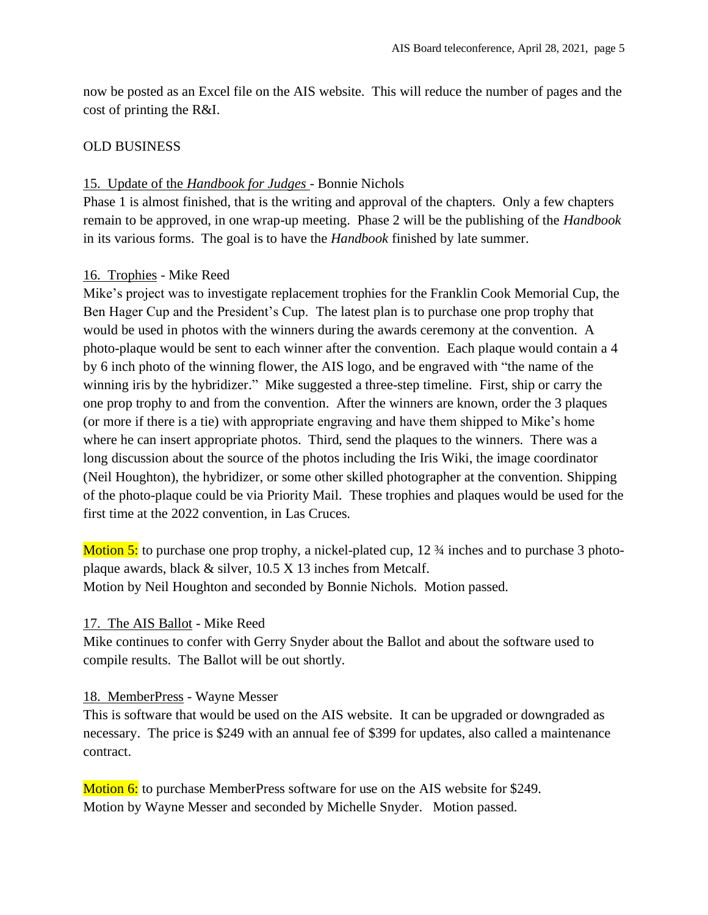now be posted as an Excel file on the AIS website. This will reduce the number of pages and the cost of printing the R&I.

### OLD BUSINESS

### 15. Update of the *Handbook for Judges* - Bonnie Nichols

Phase 1 is almost finished, that is the writing and approval of the chapters. Only a few chapters remain to be approved, in one wrap-up meeting. Phase 2 will be the publishing of the *Handbook* in its various forms. The goal is to have the *Handbook* finished by late summer.

# 16. Trophies - Mike Reed

Mike's project was to investigate replacement trophies for the Franklin Cook Memorial Cup, the Ben Hager Cup and the President's Cup. The latest plan is to purchase one prop trophy that would be used in photos with the winners during the awards ceremony at the convention. A photo-plaque would be sent to each winner after the convention. Each plaque would contain a 4 by 6 inch photo of the winning flower, the AIS logo, and be engraved with "the name of the winning iris by the hybridizer." Mike suggested a three-step timeline. First, ship or carry the one prop trophy to and from the convention. After the winners are known, order the 3 plaques (or more if there is a tie) with appropriate engraving and have them shipped to Mike's home where he can insert appropriate photos. Third, send the plaques to the winners. There was a long discussion about the source of the photos including the Iris Wiki, the image coordinator (Neil Houghton), the hybridizer, or some other skilled photographer at the convention. Shipping of the photo-plaque could be via Priority Mail. These trophies and plaques would be used for the first time at the 2022 convention, in Las Cruces.

Motion 5: to purchase one prop trophy, a nickel-plated cup, 12 <sup>3</sup>/4 inches and to purchase 3 photoplaque awards, black & silver, 10.5 X 13 inches from Metcalf. Motion by Neil Houghton and seconded by Bonnie Nichols. Motion passed.

#### 17. The AIS Ballot - Mike Reed

Mike continues to confer with Gerry Snyder about the Ballot and about the software used to compile results. The Ballot will be out shortly.

#### 18. MemberPress - Wayne Messer

This is software that would be used on the AIS website. It can be upgraded or downgraded as necessary. The price is \$249 with an annual fee of \$399 for updates, also called a maintenance contract.

Motion 6: to purchase MemberPress software for use on the AIS website for \$249. Motion by Wayne Messer and seconded by Michelle Snyder. Motion passed.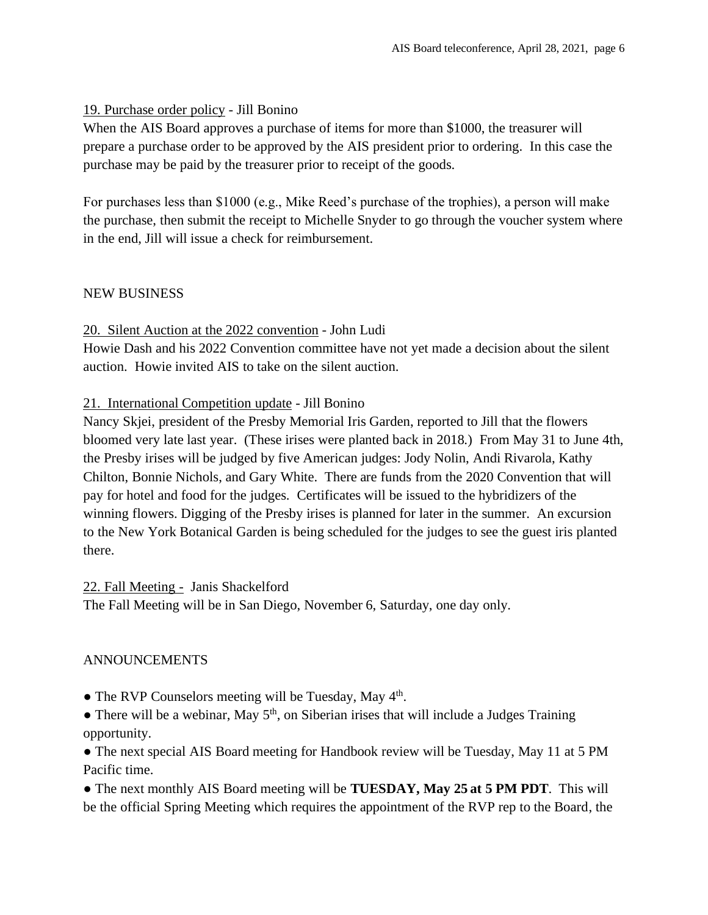### 19. Purchase order policy - Jill Bonino

When the AIS Board approves a purchase of items for more than \$1000, the treasurer will prepare a purchase order to be approved by the AIS president prior to ordering. In this case the purchase may be paid by the treasurer prior to receipt of the goods.

For purchases less than \$1000 (e.g., Mike Reed's purchase of the trophies), a person will make the purchase, then submit the receipt to Michelle Snyder to go through the voucher system where in the end, Jill will issue a check for reimbursement.

### NEW BUSINESS

### 20. Silent Auction at the 2022 convention - John Ludi

Howie Dash and his 2022 Convention committee have not yet made a decision about the silent auction. Howie invited AIS to take on the silent auction.

### 21. International Competition update - Jill Bonino

Nancy Skjei, president of the Presby Memorial Iris Garden, reported to Jill that the flowers bloomed very late last year. (These irises were planted back in 2018.) From May 31 to June 4th, the Presby irises will be judged by five American judges: Jody Nolin, Andi Rivarola, Kathy Chilton, Bonnie Nichols, and Gary White. There are funds from the 2020 Convention that will pay for hotel and food for the judges. Certificates will be issued to the hybridizers of the winning flowers. Digging of the Presby irises is planned for later in the summer. An excursion to the New York Botanical Garden is being scheduled for the judges to see the guest iris planted there.

#### 22. Fall Meeting - Janis Shackelford

The Fall Meeting will be in San Diego, November 6, Saturday, one day only.

# ANNOUNCEMENTS

- The RVP Counselors meeting will be Tuesday, May 4<sup>th</sup>.
- $\bullet$  There will be a webinar, May  $5<sup>th</sup>$ , on Siberian irises that will include a Judges Training opportunity.

• The next special AIS Board meeting for Handbook review will be Tuesday, May 11 at 5 PM Pacific time.

● The next monthly AIS Board meeting will be **TUESDAY, May 25 at 5 PM PDT**. This will be the official Spring Meeting which requires the appointment of the RVP rep to the Board, the